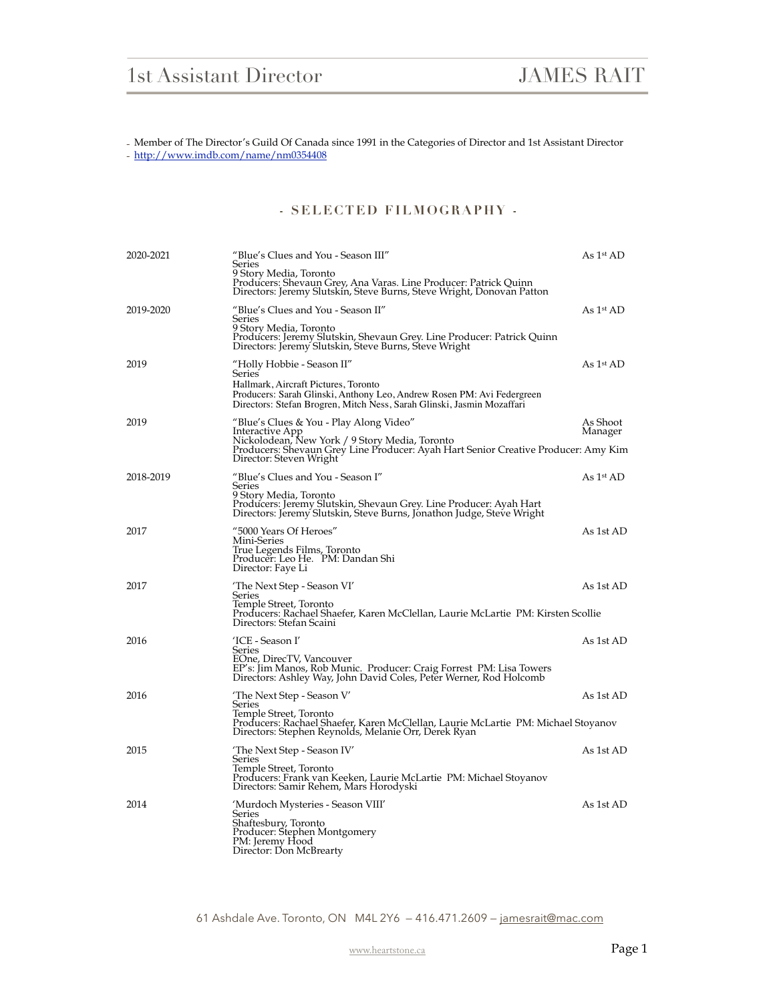- Member of The Director's Guild Of Canada since 1991 in the Categories of Director and 1st Assistant Director - <http://www.imdb.com/name/nm0354408>

## **- SELECTED FILMOGRAPHY -**

| 2020-2021 | "Blue's Clues and You - Season III"<br>Series<br>9 Story Media, Toronto<br>Producers: Shevaun Grey, Ana Varas. Line Producer: Patrick Quinn<br>Directors: Jeremy Slutskin, Steve Burns, Steve Wright, Donovan Patton                    | As 1 <sup>st</sup> AD |
|-----------|-----------------------------------------------------------------------------------------------------------------------------------------------------------------------------------------------------------------------------------------|-----------------------|
| 2019-2020 | "Blue's Clues and You - Season II"<br>Series<br>9 Story Media, Toronto<br>Producers: Jeremy Slutskin, Shevaun Grey. Line Producer: Patrick Quinn<br>Directors: Jeremy Slutskin, Steve Burns, Steve Wright                               | As $1st$ AD           |
| 2019      | "Holly Hobbie - Season II"<br><b>Series</b><br>Hallmark, Aircraft Pictures, Toronto<br>Producers: Sarah Glinski, Anthony Leo, Andrew Rosen PM: Avi Federgreen<br>Directors: Stefan Brogren, Mitch Ness, Sarah Glinski, Jasmin Mozaffari | As $1st$ AD           |
| 2019      | "Blue's Clues & You - Play Along Video"<br>Interactive App<br>Nickolodean, New York / 9 Story Media, Toronto<br>Producers: Shevaun Grey Line Producer: Ayah Hart Senior Creative Producer: Amy Kim<br>Director: Steven Wright           | As Shoot<br>Manager   |
| 2018-2019 | "Blue's Clues and You - Season I"<br>Series<br>9 Story Media, Toronto<br>Producers: Jeremy Slutskin, Shevaun Grey. Line Producer: Ayah Hart<br>Directors: Jeremy Slutskin, Steve Burns, Jonathon Judge, Steve Wright                    | As $1st$ AD           |
| 2017      | "5000 Years Of Heroes"<br>Mini-Series<br>True Legends Films, Toronto<br>Producer: Leo He. PM: Dandan Shi<br>Director: Faye Li                                                                                                           | As 1st AD             |
| 2017      | 'The Next Step - Season VI'<br>Series<br>Temple Street, Toronto<br>Producers: Rachael Shaefer, Karen McClellan, Laurie McLartie PM: Kirsten Scollie<br>Directors: Stefan Scaini                                                         | As 1st AD             |
| 2016      | 'ICE - Season I'<br>Series<br>EOne, DirecTV, Vancouver<br>EP's: Jim Manos, Rob Munic, Producer: Craig Forrest PM: Lisa Towers<br>Directors: Ashley Way, John David Coles, Peter Werner, Rod Holcomb                                     | As 1st AD             |
| 2016      | 'The Next Step - Season V'<br>Series<br>Temple Street, Toronto<br>Producers: Rachael Shaefer, Karen McClellan, Laurie McLartie PM: Michael Stoyanov<br>Directors: Stephen Reynolds, Melanie Orr, Derek Ryan                             | As 1st AD             |
| 2015      | 'The Next Step - Season IV'<br>Series<br>Temple Street, Toronto<br>Producers: Frank van Keeken, Laurie McLartie PM: Michael Stoyanov<br>Directors: Samir Rehem, Mars Horodyski                                                          | As 1st AD             |
| 2014      | 'Murdoch Mysteries - Season VIII'<br>Series<br>Shaftesbury, Toronto<br>Producer: Stephen Montgomery<br>PM: Jeremy Hood<br>Director: Don McBrearty                                                                                       | As 1st AD             |

61 Ashdale Ave. Toronto, ON M4L 2Y6 — 416.471.2609 — [jamesrait@mac.com](mailto:jamesrait@mac.com)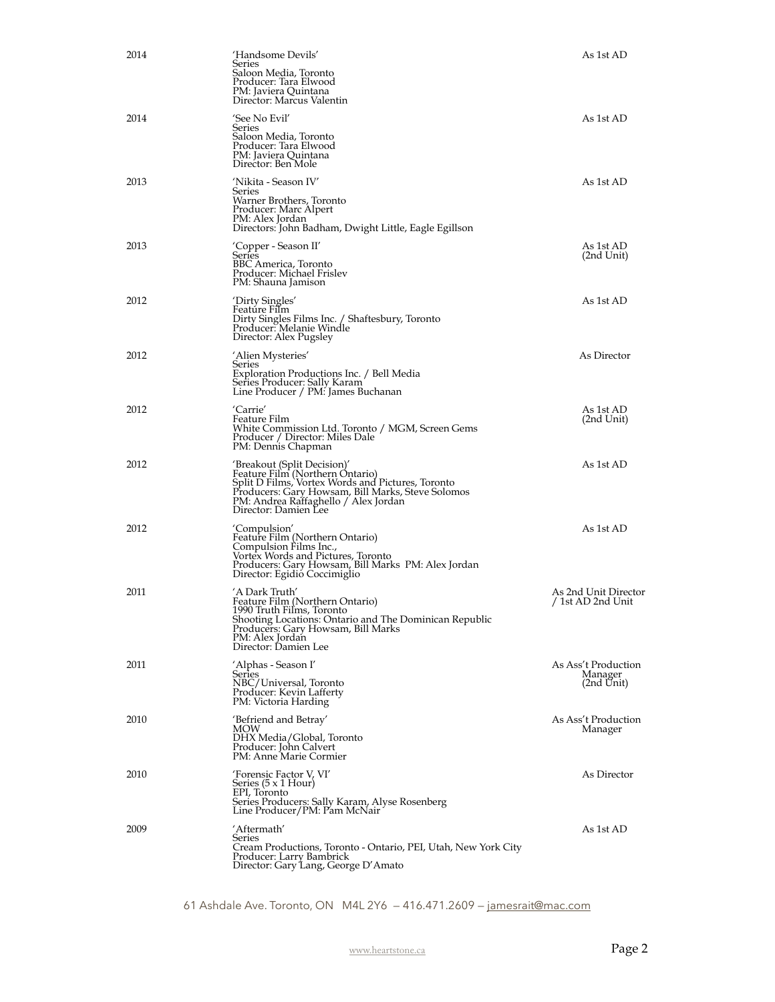| 2014 | 'Handsome Devils'<br>Series<br>Saloon Media, Toronto<br>Producer: Tara Elwood<br>PM: Javiera Quintana<br>Director: Marcus Valentin                                                                                                       | As 1st AD                                    |
|------|------------------------------------------------------------------------------------------------------------------------------------------------------------------------------------------------------------------------------------------|----------------------------------------------|
| 2014 | 'See No Evil'<br>Series<br>Saloon Media, Toronto<br>Producer: Tara Elwood<br>PM: Javiera Quințana<br>Director: Ben Mole                                                                                                                  | As 1st AD                                    |
| 2013 | 'Nikita - Season IV'<br>Series<br>Warner Brothers, Toronto<br>Producer: Marc Alpert<br>PM: Alex Jordan<br>Directors: John Badham, Dwight Little, Eagle Egillson                                                                          | As 1st AD                                    |
| 2013 | 'Copper - Season II'<br>Series<br>BBC America, Toronto<br>Producer: Michael Frislev<br>PM: Shauna Jamison                                                                                                                                | As 1st AD<br>(2nd Unit)                      |
| 2012 | 'Dirty Singles'<br>Feature Film<br>Dirty Singles Films Inc. / Shaftesbury, Toronto<br>Producer: Melanie Windle<br>Director: Alex Pugsley                                                                                                 | As 1st AD                                    |
| 2012 | 'Alien Mysteries'<br>Series<br>Exploration Productions Inc. / Bell Media<br>Series Producer: Sally Karam<br>Line Producer / PM: James Buchanan                                                                                           | As Director                                  |
| 2012 | 'Carrie'<br>Feature Film<br>White Commission Ltd. Toronto / MGM, Screen Gems<br>Producer / Director: Miles Dale<br>PM: Dennis Chapman                                                                                                    | As 1st AD<br>(2nd Unit)                      |
| 2012 | 'Breakout (Split Decision)'<br>Feature Film (Northern Ontario)<br>Split D Films, Vortex Words and Pictures, Toronto<br>Producers: Gary Howsam, Bill Marks, Steve Solomos<br>PM: Andrea Raffaghello / Alex Jordan<br>Director: Damien Lee | As 1st AD                                    |
| 2012 | 'Compulsion'<br>Feature Film (Northern Ontario)<br>Compulsion Films Inc.,<br>Vortex Words and Pictures, Toronto<br>Producers: Gary Howsam, Bill Marks PM: Alex Jordan<br>Director: Egidió Coccimiglio                                    | As 1st AD                                    |
| 2011 | 'A Dark Truth'<br>Feature Film (Northern Ontario)<br>1990 Truth Films, Toronto<br>Shooting Locations: Ontario and The Dominican Republic<br>Producers: Gary Howsam, Bill Marks<br>PM: Alex Jordan<br>Director: Damien Lee                | As 2nd Unit Director<br>/ 1st AD 2nd Unit    |
| 2011 | 'Alphas - Season I'<br>Series<br>NBC/Universal, Toronto<br>Producer: Kevin Lafferty<br>PM: Victoria Harding                                                                                                                              | As Ass't Production<br>Manager<br>(2nd Unit) |
| 2010 | 'Befriend and Betray'<br><b>MOW</b><br>DHX Media/Global, Toronto<br>Producer: John Calvert<br>PM: Anne Marie Cormier                                                                                                                     | As Ass't Production<br>Manager               |
| 2010 | 'Forensic Factor V, VI'<br>Series $(5 \times 1$ Hour)<br>EPI, Toronto<br>Series Producers: Sally Karam, Alyse Rosenberg<br>Line Producer/PM: Pam McNair                                                                                  | As Director                                  |
| 2009 | 'Aftermath'<br>Series<br>Cream Productions, Toronto - Ontario, PEI, Utah, New York City<br>Producer: Larry Bambrick<br>Director: Gary Lang, George D'Amato                                                                               | As 1st AD                                    |

61 Ashdale Ave. Toronto, ON M4L 2Y6 — 416.471.2609 — [jamesrait@mac.com](mailto:jamesrait@mac.com)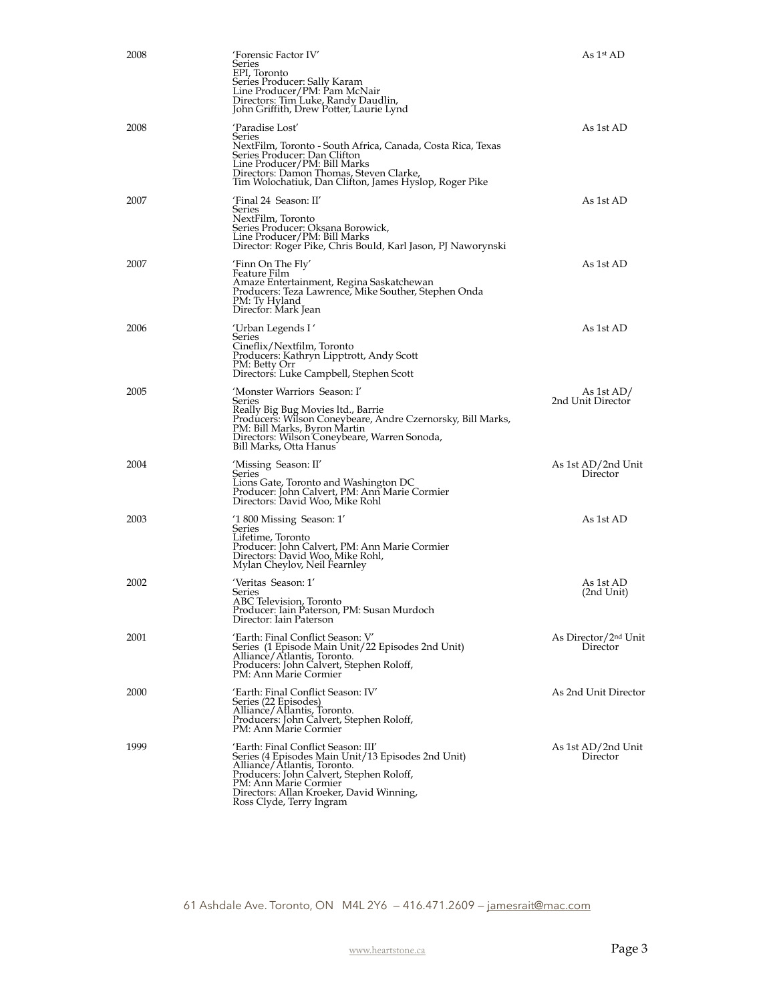| 2008 | 'Forensic Factor IV'<br>Series<br>EPI, Toronto<br>Series Producer: Sally Karam<br>Line Producer/PM: Pam McNair<br>Directors: Tim Luke, Randy Daudlin,<br>John Griffith, Drew Potter, Laurie Lynd                                                                      | As 1st AD                                    |
|------|-----------------------------------------------------------------------------------------------------------------------------------------------------------------------------------------------------------------------------------------------------------------------|----------------------------------------------|
| 2008 | 'Paradise Lost'<br>Series<br>NextFilm, Toronto - South Africa, Canada, Costa Rica, Texas<br>Series Producer: Dan Clifton<br>Line Producer/PM: Bill Marks<br>Directors: Damon Thomas, Steven Clarke,<br>Tim Wolochatiuk, Dan Clifton, James Hyslop, Roger Pike         | As 1st AD                                    |
| 2007 | 'Final 24 Season: II'<br>Series<br>NextFilm, Toronto<br>Series Producer: Oksana Borowick,<br>Line Producer/PM: Bill Marks<br>Director: Roger Pike, Chris Bould, Karl Jason, PJ Naworynski                                                                             | As 1st AD                                    |
| 2007 | 'Finn On The Fly'<br>Feature Film<br>Amaze Entertainment, Regina Saskatchewan<br>Producers: Teza Lawrence, Mike Souther, Stephen Onda<br>PM: Ty Hyland<br>Director: Mark Jean                                                                                         | As 1st AD                                    |
| 2006 | 'Urban Legends I '<br>Series<br>Cineflix/Nextfilm, Toronto<br>Producers: Kathryn Lipptrott, Andy Scott<br>PM: Betty Orr<br>Directors: Luke Campbell, Stephen Scott                                                                                                    | As 1st AD                                    |
| 2005 | 'Monster Warriors Season: I'<br>Series<br>Really Big Bug Movies ltd., Barrie<br>Producers: Wilson Coneybeare, Andre Czernorsky, Bill Marks,<br>PM: Bill Marks, Byron Martin<br>Directors: Wilson Coneybeare, Warren Sonoda,<br>Bill Marks, Otta Hanus <sup>-</sup>    | As 1st AD/<br>2nd Unit Director              |
| 2004 | 'Missing Season: II'<br>Series<br>Lions Gate, Toronto and Washington DC<br>Producer: John Calvert, PM: Ann Marie Cormier<br>Directors: David Woo, Mike Rohl                                                                                                           | As 1st AD/2nd Unit<br>Director               |
| 2003 | '1800 Missing Season: 1'<br>Series<br>Lifetime, Toronto<br>Producer: John Calvert, PM: Ann Marie Cormier<br>Directors: David Woo, Mike Rohl,<br>Mylan Cheylov, Neil Fearnley                                                                                          | As 1st AD                                    |
| 2002 | 'Veritas Season: 1'<br>Series<br>ABC Television, Toronto<br>Producer: Iain Paterson, PM: Susan Murdoch<br>Director: Iain Paterson                                                                                                                                     | As 1st AD<br>(2nd Unit)                      |
| 2001 | 'Earth: Final Conflict Season: V'<br>Series (1 Episode Main Unit/22 Episodes 2nd Unit)<br>Alliance/Atlantis, Toronto.<br>Producers: John Calvert, Stephen Roloff,<br>PM: Ann Marie Cormier                                                                            | As Director/2 <sup>nd</sup> Unit<br>Director |
| 2000 | 'Earth: Final Conflict Season: IV'<br>Series (22 Episodes)<br>Alliance/Atlantis, Toronto.<br>Producers: John Calvert, Stephen Roloff,<br>PM: Ann Marie Cormier                                                                                                        | As 2nd Unit Director                         |
| 1999 | 'Earth: Final Conflict Season: III'<br>Series (4 Episodes Main Unit/13 Episodes 2nd Unit)<br>Alliance/Atlantis, Toronto.<br>Producers: John Calvert, Stephen Roloff,<br>PM: Ann Marie Cormier<br>Directors: Allan Kroeker, David Winning,<br>Ross Clyde, Terry Ingram | As 1st AD/2nd Unit<br>Director               |

61 Ashdale Ave. Toronto, ON M4L 2Y6 — 416.471.2609 — [jamesrait@mac.com](mailto:jamesrait@mac.com)